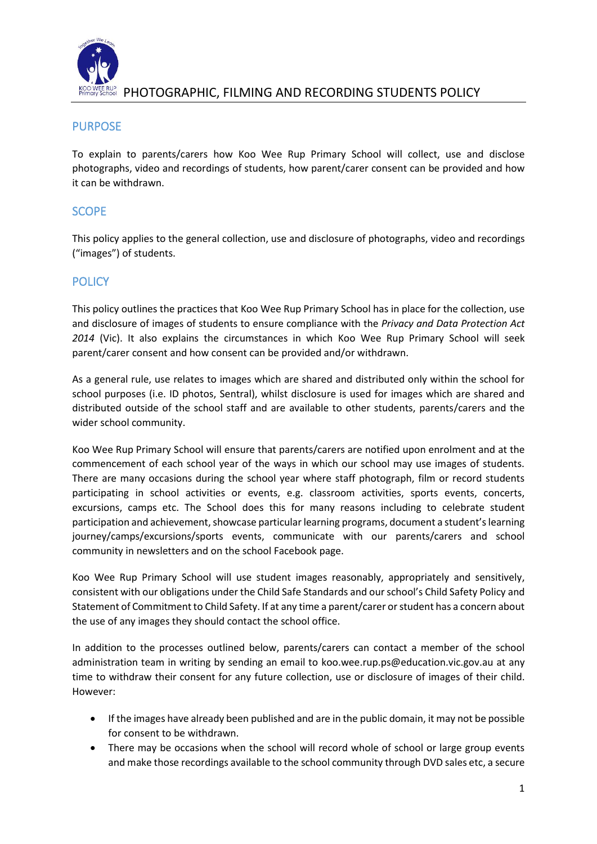

## **FIOTOGRAPHIC, FILMING AND RECORDING STUDENTS POLICY**

### PURPOSE

To explain to parents/carers how Koo Wee Rup Primary School will collect, use and disclose photographs, video and recordings of students, how parent/carer consent can be provided and how it can be withdrawn.

### **SCOPE**

This policy applies to the general collection, use and disclosure of photographs, video and recordings ("images") of students.

## **POLICY**

This policy outlines the practices that Koo Wee Rup Primary School has in place for the collection, use and disclosure of images of students to ensure compliance with the *Privacy and Data Protection Act 2014* (Vic). It also explains the circumstances in which Koo Wee Rup Primary School will seek parent/carer consent and how consent can be provided and/or withdrawn.

As a general rule, use relates to images which are shared and distributed only within the school for school purposes (i.e. ID photos, Sentral), whilst disclosure is used for images which are shared and distributed outside of the school staff and are available to other students, parents/carers and the wider school community.

Koo Wee Rup Primary School will ensure that parents/carers are notified upon enrolment and at the commencement of each school year of the ways in which our school may use images of students. There are many occasions during the school year where staff photograph, film or record students participating in school activities or events, e.g. classroom activities, sports events, concerts, excursions, camps etc. The School does this for many reasons including to celebrate student participation and achievement, showcase particular learning programs, document a student's learning journey/camps/excursions/sports events, communicate with our parents/carers and school community in newsletters and on the school Facebook page.

Koo Wee Rup Primary School will use student images reasonably, appropriately and sensitively, consistent with our obligations under the Child Safe Standards and our school's Child Safety Policy and Statement of Commitment to Child Safety. If at any time a parent/carer or student has a concern about the use of any images they should contact the school office.

In addition to the processes outlined below, parents/carers can contact a member of the school administration team in writing by sending an email to koo.wee.rup.ps@education.vic.gov.au at any time to withdraw their consent for any future collection, use or disclosure of images of their child. However:

- If the images have already been published and are in the public domain, it may not be possible for consent to be withdrawn.
- There may be occasions when the school will record whole of school or large group events and make those recordings available to the school community through DVD sales etc, a secure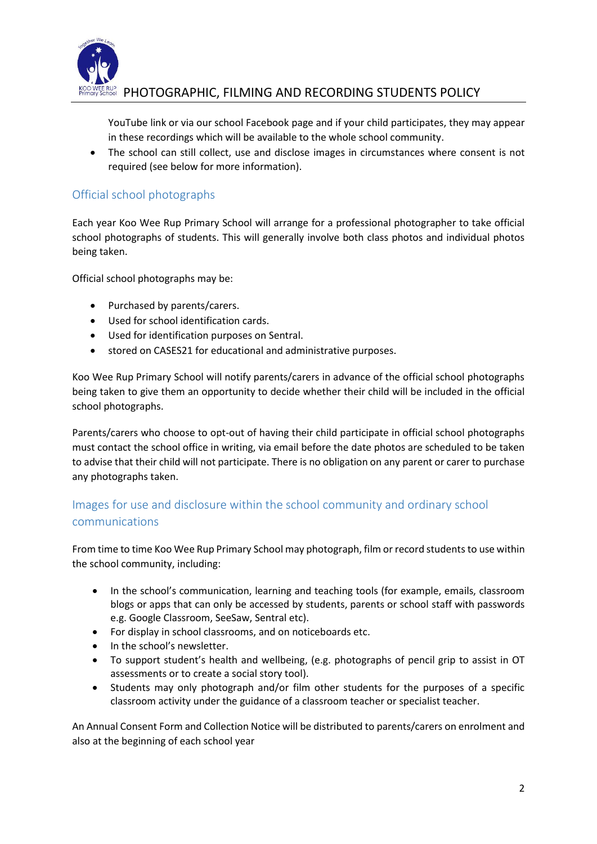

# $\,$  PHOTOGRAPHIC, FILMING AND RECORDING STUDENTS POLICY

YouTube link or via our school Facebook page and if your child participates, they may appear in these recordings which will be available to the whole school community.

• The school can still collect, use and disclose images in circumstances where consent is not required (see below for more information).

## Official school photographs

Each year Koo Wee Rup Primary School will arrange for a professional photographer to take official school photographs of students. This will generally involve both class photos and individual photos being taken.

Official school photographs may be:

- Purchased by parents/carers.
- Used for school identification cards.
- Used for identification purposes on Sentral.
- stored on CASES21 for educational and administrative purposes.

Koo Wee Rup Primary School will notify parents/carers in advance of the official school photographs being taken to give them an opportunity to decide whether their child will be included in the official school photographs.

Parents/carers who choose to opt-out of having their child participate in official school photographs must contact the school office in writing, via email before the date photos are scheduled to be taken to advise that their child will not participate. There is no obligation on any parent or carer to purchase any photographs taken.

# Images for use and disclosure within the school community and ordinary school communications

From time to time Koo Wee Rup Primary School may photograph, film or record students to use within the school community, including:

- In the school's communication, learning and teaching tools (for example, emails, classroom blogs or apps that can only be accessed by students, parents or school staff with passwords e.g. Google Classroom, SeeSaw, Sentral etc).
- For display in school classrooms, and on noticeboards etc.
- In the school's newsletter.
- To support student's health and wellbeing, (e.g. photographs of pencil grip to assist in OT assessments or to create a social story tool).
- Students may only photograph and/or film other students for the purposes of a specific classroom activity under the guidance of a classroom teacher or specialist teacher.

An Annual Consent Form and Collection Notice will be distributed to parents/carers on enrolment and also at the beginning of each school year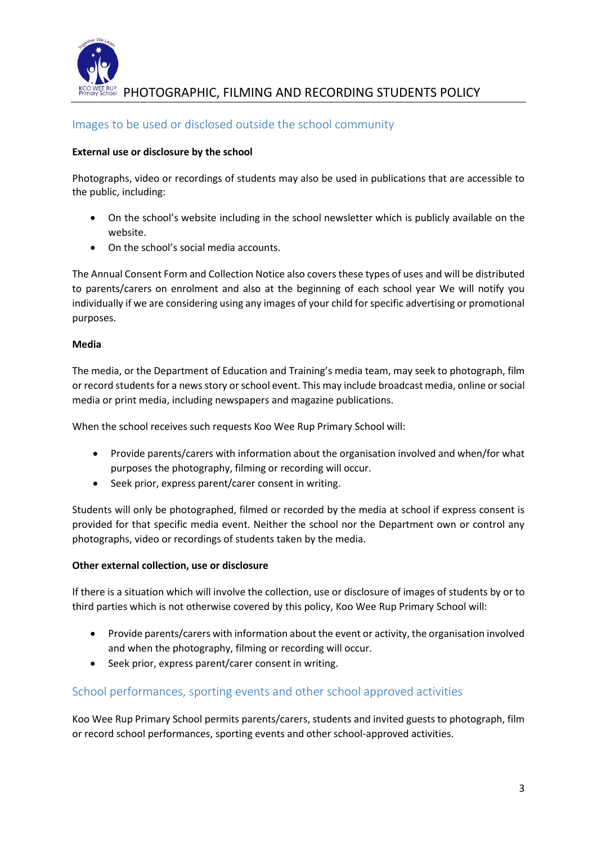

**FIOTOGRAPHIC, FILMING AND RECORDING STUDENTS POLICY** 

### Images to be used or disclosed outside the school community

#### **External use or disclosure by the school**

Photographs, video or recordings of students may also be used in publications that are accessible to the public, including:

- On the school's website including in the school newsletter which is publicly available on the website.
- On the school's social media accounts.

The Annual Consent Form and Collection Notice also covers these types of uses and will be distributed to parents/carers on enrolment and also at the beginning of each school year We will notify you individually if we are considering using any images of your child for specific advertising or promotional purposes.

#### **Media**

The media, or the Department of Education and Training's media team, may seek to photograph, film or record students for a news story or school event. This may include broadcast media, online or social media or print media, including newspapers and magazine publications.

When the school receives such requests Koo Wee Rup Primary School will:

- Provide parents/carers with information about the organisation involved and when/for what purposes the photography, filming or recording will occur.
- Seek prior, express parent/carer consent in writing.

Students will only be photographed, filmed or recorded by the media at school if express consent is provided for that specific media event. Neither the school nor the Department own or control any photographs, video or recordings of students taken by the media.

#### **Other external collection, use or disclosure**

If there is a situation which will involve the collection, use or disclosure of images of students by or to third parties which is not otherwise covered by this policy, Koo Wee Rup Primary School will:

- Provide parents/carers with information about the event or activity, the organisation involved and when the photography, filming or recording will occur.
- Seek prior, express parent/carer consent in writing.

### School performances, sporting events and other school approved activities

Koo Wee Rup Primary School permits parents/carers, students and invited guests to photograph, film or record school performances, sporting events and other school-approved activities.